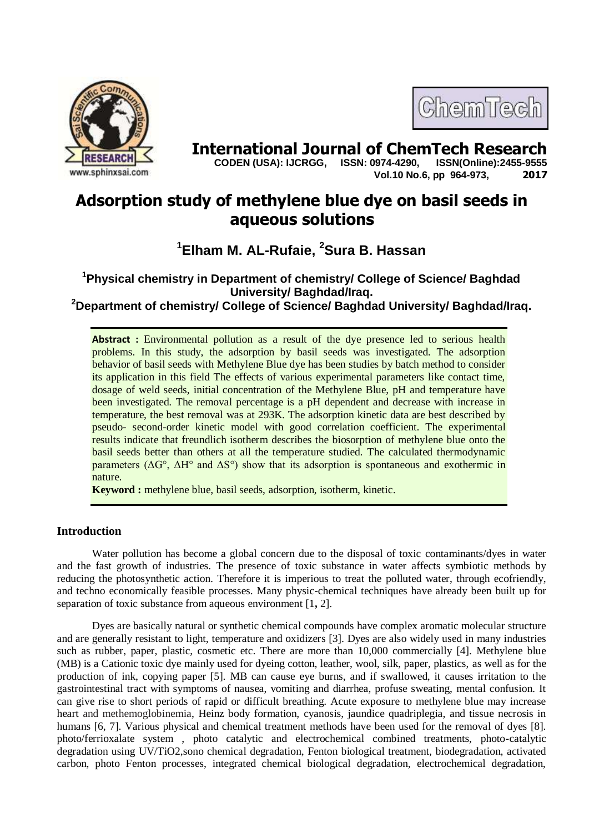

# **International Journal of ChemTech Research <br>CODEN (USA): IJCRGG. ISSN: 0974-4290. ISSN(Online):2455-9555**

ChemTech

 **CODEN (USA): IJCRGG, ISSN: 0974-4290, Vol.10 No.6, pp 964-973, 2017**

## **Adsorption study of methylene blue dye on basil seeds in aqueous solutions**

**<sup>1</sup>Elham M. AL-Rufaie, <sup>2</sup>Sura B. Hassan**

### **<sup>1</sup>Physical chemistry in Department of chemistry/ College of Science/ Baghdad University/ Baghdad/Iraq.**

**<sup>2</sup>Department of chemistry/ College of Science/ Baghdad University/ Baghdad/Iraq.**

**Abstract :** Environmental pollution as a result of the dye presence led to serious health problems. In this study, the adsorption by basil seeds was investigated. The adsorption behavior of basil seeds with Methylene Blue dye has been studies by batch method to consider its application in this field The effects of various experimental parameters like contact time, dosage of weld seeds, initial concentration of the Methylene Blue, pH and temperature have been investigated. The removal percentage is a pH dependent and decrease with increase in temperature, the best removal was at 293K. The adsorption kinetic data are best described by pseudo- second-order kinetic model with good correlation coefficient. The experimental results indicate that freundlich isotherm describes the biosorption of methylene blue onto the basil seeds better than others at all the temperature studied. The calculated thermodynamic parameters  $(\Delta G^{\circ}, \Delta H^{\circ}$  and  $\Delta S^{\circ})$  show that its adsorption is spontaneous and exothermic in nature.

**Keyword :** methylene blue, basil seeds, adsorption, isotherm, kinetic.

#### **Introduction**

Water pollution has become a global concern due to the disposal of toxic contaminants/dyes in water and the fast growth of industries. The presence of toxic substance in water affects symbiotic methods by reducing the photosynthetic action. Therefore it is imperious to treat the polluted water, through ecofriendly, and techno economically feasible processes. Many physic-chemical techniques have already been built up for separation of toxic substance from aqueous environment [1**,** 2].

Dyes are basically natural or synthetic chemical compounds have complex aromatic molecular structure and are generally resistant to light, temperature and oxidizers [3]. Dyes are also widely used in many industries such as rubber, paper, plastic, cosmetic etc. There are more than 10,000 commercially [4]. Methylene blue (MB) is a Cationic toxic dye mainly used for dyeing cotton, leather, wool, silk, paper, plastics, as well as for the production of ink, copying paper [5]. MB can cause eye burns, and if swallowed, it causes irritation to the gastrointestinal tract with symptoms of nausea, vomiting and diarrhea, profuse sweating, mental confusion. It can give rise to short periods of rapid or difficult breathing. Acute exposure to methylene blue may increase heart and methemoglobinemia, Heinz body formation, cyanosis, jaundice quadriplegia, and tissue necrosis in humans [6, 7]. Various physical and chemical treatment methods have been used for the removal of dyes [8]. photo/ferrioxalate system , photo catalytic and electrochemical combined treatments, photo-catalytic degradation using UV/TiO2,sono chemical degradation, Fenton biological treatment, biodegradation, activated carbon, photo Fenton processes, integrated chemical biological degradation, electrochemical degradation,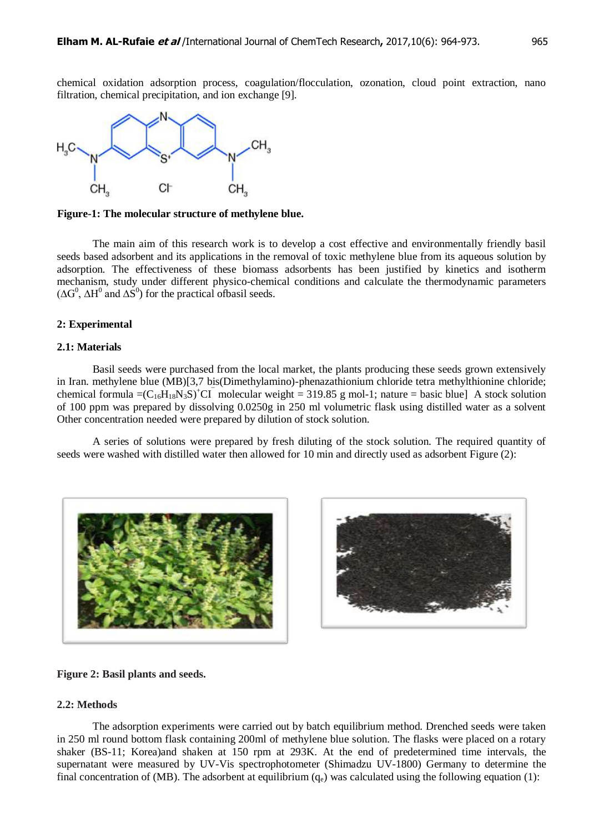chemical oxidation adsorption process, coagulation/flocculation, ozonation, cloud point extraction, nano filtration, chemical precipitation, and ion exchange [9].



**Figure-1: The molecular structure of methylene blue.**

 The main aim of this research work is to develop a cost effective and environmentally friendly basil seeds based adsorbent and its applications in the removal of toxic methylene blue from its aqueous solution by adsorption. The effectiveness of these biomass adsorbents has been justified by kinetics and isotherm mechanism, study under different physico-chemical conditions and calculate the thermodynamic parameters  $(\Delta G^0, \Delta H^0$  and  $\Delta S^0$ ) for the practical ofbasil seeds.

#### **2: Experimental**

#### **2.1: Materials**

Basil seeds were purchased from the local market, the plants producing these seeds grown extensively in Iran. methylene blue (MB)[3,7 bis(Dimethylamino)-phenazathionium chloride tetra methylthionine chloride; chemical formula = $(C_{16}H_{18}N_3S)^+CI$  molecular weight = 319.85 g mol-1; nature = basic blue] A stock solution of 100 ppm was prepared by dissolving 0.0250g in 250 ml volumetric flask using distilled water as a solvent Other concentration needed were prepared by dilution of stock solution.

 A series of solutions were prepared by fresh diluting of the stock solution. The required quantity of seeds were washed with distilled water then allowed for 10 min and directly used as adsorbent Figure (2):





**Figure 2: Basil plants and seeds.**

#### **2.2: Methods**

The adsorption experiments were carried out by batch equilibrium method. Drenched seeds were taken in 250 ml round bottom flask containing 200ml of methylene blue solution. The flasks were placed on a rotary shaker (BS-11; Korea)and shaken at 150 rpm at 293K. At the end of predetermined time intervals, the supernatant were measured by UV-Vis spectrophotometer (Shimadzu UV-1800) Germany to determine the final concentration of (MB). The adsorbent at equilibrium  $(q_e)$  was calculated using the following equation (1):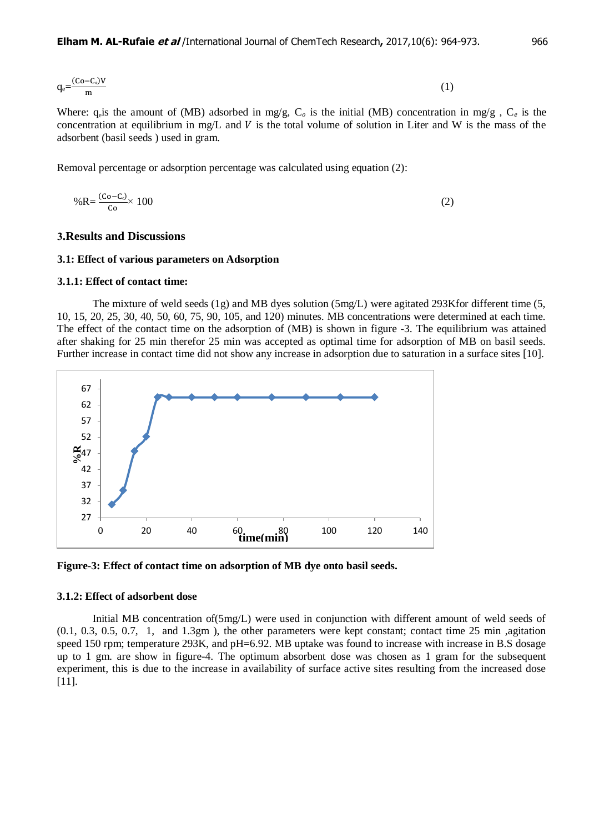$$
q_e = \frac{(Co - C_e)V}{m} \tag{1}
$$

Where:  $q_e$  is the amount of (MB) adsorbed in mg/g,  $C_o$  is the initial (MB) concentration in mg/g,  $C_e$  is the concentration at equilibrium in mg/L and  $V$  is the total volume of solution in Liter and W is the mass of the adsorbent (basil seeds ) used in gram.

Removal percentage or adsorption percentage was calculated using equation (2):

$$
\%R = \frac{(Co - C_c)}{Co} \times 100\tag{2}
$$

#### **3.Results and Discussions**

#### **3.1: Effect of various parameters on Adsorption**

#### **3.1.1: Effect of contact time:**

 The mixture of weld seeds (1g) and MB dyes solution (5mg/L) were agitated 293Kfor different time (5, 10, 15, 20, 25, 30, 40, 50, 60, 75, 90, 105, and 120) minutes. MB concentrations were determined at each time. The effect of the contact time on the adsorption of (MB) is shown in figure -3. The equilibrium was attained after shaking for 25 min therefor 25 min was accepted as optimal time for adsorption of MB on basil seeds. Further increase in contact time did not show any increase in adsorption due to saturation in a surface sites [10].



**Figure-3: Effect of contact time on adsorption of MB dye onto basil seeds.**

#### **3.1.2: Effect of adsorbent dose**

Initial MB concentration of(5mg/L) were used in conjunction with different amount of weld seeds of (0.1, 0.3, 0.5, 0.7, 1, and 1.3gm ), the other parameters were kept constant; contact time 25 min ,agitation speed 150 rpm; temperature 293K, and pH=6.92. MB uptake was found to increase with increase in B.S dosage up to 1 gm. are show in figure-4. The optimum absorbent dose was chosen as 1 gram for the subsequent experiment, this is due to the increase in availability of surface active sites resulting from the increased dose [11].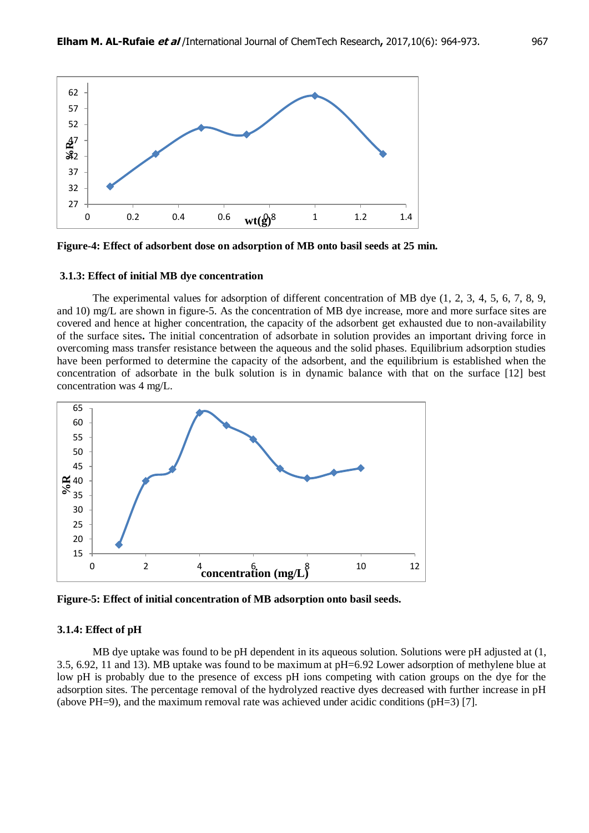

**Figure-4: Effect of adsorbent dose on adsorption of MB onto basil seeds at 25 min.**

#### **3.1.3: Effect of initial MB dye concentration**

The experimental values for adsorption of different concentration of MB dye (1, 2, 3, 4, 5, 6, 7, 8, 9, and 10) mg/L are shown in figure-5. As the concentration of MB dye increase, more and more surface sites are covered and hence at higher concentration, the capacity of the adsorbent get exhausted due to non-availability of the surface sites**.** The initial concentration of adsorbate in solution provides an important driving force in overcoming mass transfer resistance between the aqueous and the solid phases. Equilibrium adsorption studies have been performed to determine the capacity of the adsorbent, and the equilibrium is established when the concentration of adsorbate in the bulk solution is in dynamic balance with that on the surface [12] best concentration was 4 mg/L.



**Figure-5: Effect of initial concentration of MB adsorption onto basil seeds.**

#### **3.1.4: Effect of pH**

MB dye uptake was found to be pH dependent in its aqueous solution. Solutions were pH adjusted at (1, 3.5, 6.92, 11 and 13). MB uptake was found to be maximum at pH=6.92 Lower adsorption of methylene blue at low pH is probably due to the presence of excess pH ions competing with cation groups on the dye for the adsorption sites. The percentage removal of the hydrolyzed reactive dyes decreased with further increase in pH (above PH=9), and the maximum removal rate was achieved under acidic conditions (pH=3) [7].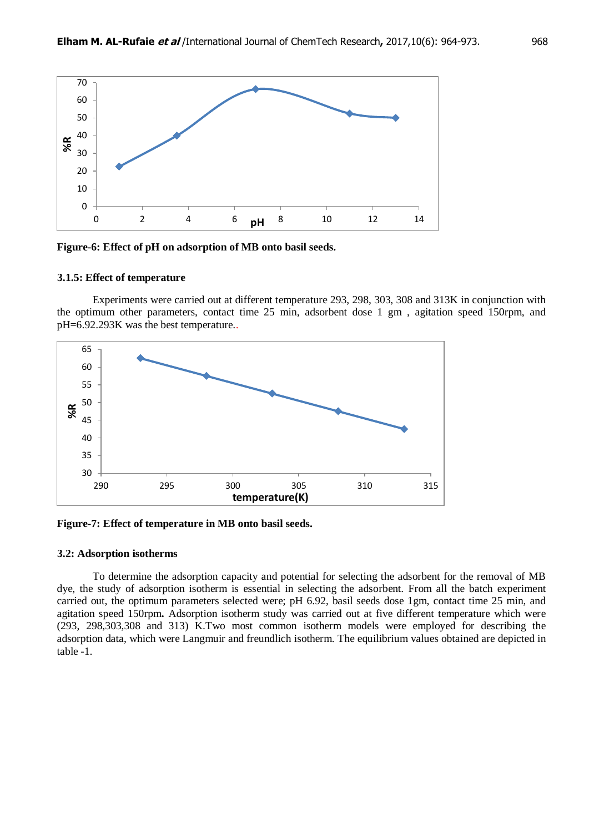

**Figure-6: Effect of pH on adsorption of MB onto basil seeds.**

#### **3.1.5: Effect of temperature**

Experiments were carried out at different temperature 293, 298, 303, 308 and 313K in conjunction with the optimum other parameters, contact time 25 min, adsorbent dose 1 gm , agitation speed 150rpm, and pH=6.92.293K was the best temperature..



**Figure-7: Effect of temperature in MB onto basil seeds.**

#### **3.2: Adsorption isotherms**

To determine the adsorption capacity and potential for selecting the adsorbent for the removal of MB dye, the study of adsorption isotherm is essential in selecting the adsorbent. From all the batch experiment carried out, the optimum parameters selected were; pH 6.92, basil seeds dose 1gm, contact time 25 min, and agitation speed 150rpm**.** Adsorption isotherm study was carried out at five different temperature which were (293, 298,303,308 and 313) K.Two most common isotherm models were employed for describing the adsorption data, which were Langmuir and freundlich isotherm. The equilibrium values obtained are depicted in table -1.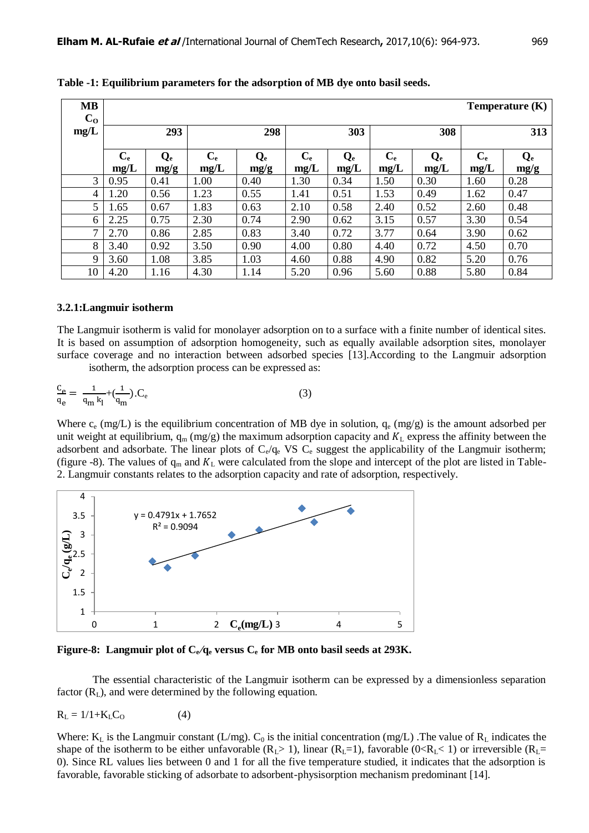| <b>MB</b><br>$\mathbf{C_{O}}$ |                 |                 |                 |                 |                 |                          |                 |                                   |                 | Temperature $(K)$ |
|-------------------------------|-----------------|-----------------|-----------------|-----------------|-----------------|--------------------------|-----------------|-----------------------------------|-----------------|-------------------|
| mg/L                          |                 | 293             |                 | 298             | 303             |                          | 308             |                                   | 313             |                   |
|                               | $C_{e}$<br>mg/L | $Q_{e}$<br>mg/g | $C_{e}$<br>mg/L | $Q_{e}$<br>mg/g | $C_{e}$<br>mg/L | $\mathbf{Q}_{e}$<br>mg/L | $C_{e}$<br>mg/L | $\mathbf{Q}_{\mathbf{e}}$<br>mg/L | $C_{e}$<br>mg/L | $Q_{e}$<br>mg/g   |
| 3                             | 0.95            | 0.41            | 1.00            | 0.40            | 1.30            | 0.34                     | 1.50            | 0.30                              | 1.60            | 0.28              |
| 4                             | 1.20            | 0.56            | 1.23            | 0.55            | 1.41            | 0.51                     | 1.53            | 0.49                              | 1.62            | 0.47              |
| 5                             | 1.65            | 0.67            | 1.83            | 0.63            | 2.10            | 0.58                     | 2.40            | 0.52                              | 2.60            | 0.48              |
| 6                             | 2.25            | 0.75            | 2.30            | 0.74            | 2.90            | 0.62                     | 3.15            | 0.57                              | 3.30            | 0.54              |
| 7                             | 2.70            | 0.86            | 2.85            | 0.83            | 3.40            | 0.72                     | 3.77            | 0.64                              | 3.90            | 0.62              |
| 8                             | 3.40            | 0.92            | 3.50            | 0.90            | 4.00            | 0.80                     | 4.40            | 0.72                              | 4.50            | 0.70              |
| 9                             | 3.60            | 1.08            | 3.85            | 1.03            | 4.60            | 0.88                     | 4.90            | 0.82                              | 5.20            | 0.76              |
| 10                            | 4.20            | 1.16            | 4.30            | 1.14            | 5.20            | 0.96                     | 5.60            | 0.88                              | 5.80            | 0.84              |

**Table -1: Equilibrium parameters for the adsorption of MB dye onto basil seeds.**

#### **3.2.1:Langmuir isotherm**

The Langmuir isotherm is valid for monolayer adsorption on to a surface with a finite number of identical sites. It is based on assumption of adsorption homogeneity, such as equally available adsorption sites, monolayer surface coverage and no interaction between adsorbed species [13].According to the Langmuir adsorption isotherm, the adsorption process can be expressed as:

$$
\frac{c_e}{q_e} = \frac{1}{q_m k_l} + \left(\frac{1}{q_m}\right).C_e
$$
\n(3)

Where  $c_e$  (mg/L) is the equilibrium concentration of MB dye in solution,  $q_e$  (mg/g) is the amount adsorbed per unit weight at equilibrium,  $q_m (mg/g)$  the maximum adsorption capacity and  $K_L$  express the affinity between the adsorbent and adsorbate. The linear plots of  $C_e/q_e$  VS  $C_e$  suggest the applicability of the Langmuir isotherm; (figure -8). The values of  $q_m$  and  $K_L$  were calculated from the slope and intercept of the plot are listed in Table-2. Langmuir constants relates to the adsorption capacity and rate of adsorption, respectively.



**Figure-8:** Langmuir plot of  $C_e/q_e$  versus  $C_e$  for MB onto basil seeds at 293K.

The essential characteristic of the Langmuir isotherm can be expressed by a dimensionless separation factor  $(R<sub>L</sub>)$ , and were determined by the following equation.

$$
R_{L} = 1/1 + K_{L}C_{O} \tag{4}
$$

Where:  $K_L$  is the Langmuir constant (L/mg).  $C_0$  is the initial concentration (mg/L) . The value of  $R_L$  indicates the shape of the isotherm to be either unfavorable  $(R_L> 1)$ , linear  $(R_L=1)$ , favorable  $(0 < R_L < 1)$  or irreversible  $(R_L=$ 0). Since RL values lies between 0 and 1 for all the five temperature studied, it indicates that the adsorption is favorable, favorable sticking of adsorbate to adsorbent-physisorption mechanism predominant [14].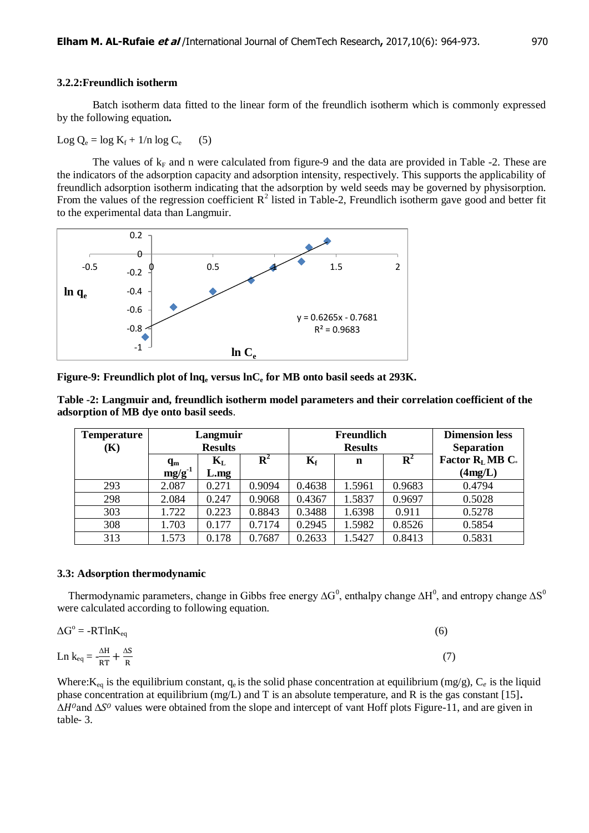#### **3.2.2:Freundlich isotherm**

 Batch isotherm data fitted to the linear form of the freundlich isotherm which is commonly expressed by the following equation**.**

Log  $Q_e = \log K_f + 1/n \log C_e$  (5)

The values of  $k_F$  and n were calculated from figure-9 and the data are provided in Table -2. These are the indicators of the adsorption capacity and adsorption intensity, respectively. This supports the applicability of freundlich adsorption isotherm indicating that the adsorption by weld seeds may be governed by physisorption. From the values of the regression coefficient  $R^2$  listed in Table-2, Freundlich isotherm gave good and better fit to the experimental data than Langmuir.



**Figure-9: Freundlich plot of lnq<sup>e</sup> versus lnC<sup>e</sup> for MB onto basil seeds at 293K.**

**Table -2: Langmuir and, freundlich isotherm model parameters and their correlation coefficient of the adsorption of MB dye onto basil seeds**.

| <b>Temperature</b><br>(K) | Langmuir<br><b>Results</b>                                                    |       |             | Freundlich<br><b>Results</b> |        |                | <b>Dimension less</b><br><b>Separation</b> |  |
|---------------------------|-------------------------------------------------------------------------------|-------|-------------|------------------------------|--------|----------------|--------------------------------------------|--|
|                           | $\mathbf{K}_{\mathrm{L}}$<br>$\mathbf{q}_{\mathbf{m}}$<br>$mg/g^{-1}$<br>L.mg |       | ${\bf R}^2$ | $K_{\rm f}$                  | n      | $\mathbf{R}^2$ | Factor $R_L M B C$<br>(4mg/L)              |  |
| 293                       | 2.087                                                                         | 0.271 | 0.9094      | 0.4638                       | 1.5961 | 0.9683         | 0.4794                                     |  |
| 298                       | 2.084                                                                         | 0.247 | 0.9068      | 0.4367                       | 1.5837 | 0.9697         | 0.5028                                     |  |
| 303                       | 1.722                                                                         | 0.223 | 0.8843      | 0.3488                       | 1.6398 | 0.911          | 0.5278                                     |  |
| 308                       | 1.703                                                                         | 0.177 | 0.7174      | 0.2945                       | 1.5982 | 0.8526         | 0.5854                                     |  |
| 313                       | 1.573                                                                         | 0.178 | 0.7687      | 0.2633                       | 1.5427 | 0.8413         | 0.5831                                     |  |

#### **3.3: Adsorption thermodynamic**

Thermodynamic parameters, change in Gibbs free energy  $\Delta G^0$ , enthalpy change  $\Delta H^0$ , and entropy change  $\Delta S^0$ were calculated according to following equation.

$$
\Delta G^{\circ} = -RT \ln K_{eq} \tag{6}
$$
  
Ln  $k_{eq} = -\frac{\Delta H}{RT} + \frac{\Delta S}{R}$  (7)

Where:  $K_{eq}$  is the equilibrium constant,  $q_e$  is the solid phase concentration at equilibrium (mg/g),  $C_e$  is the liquid phase concentration at equilibrium (mg/L) and T is an absolute temperature, and R is the gas constant [15]**.**   $\Delta H^{\circ}$  and  $\Delta S^{\circ}$  values were obtained from the slope and intercept of vant Hoff plots Figure-11, and are given in table- 3.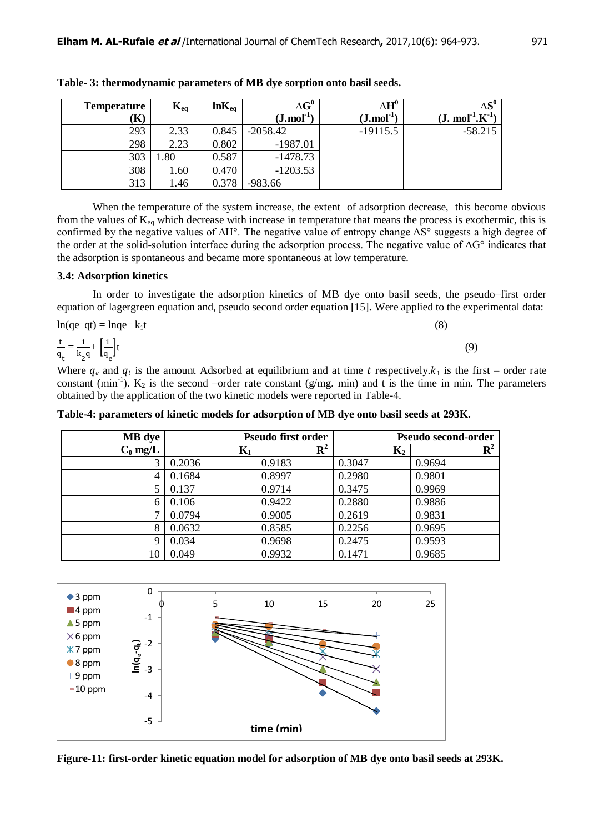| <b>Temperature</b> | $\mathbf{K}_{\text{eq}}$ | $ln K_{eq}$ | $\Delta G^0$              | $\Delta \mathbf{H}^{\mathbf{0}}$ | $\Delta S^0$                          |
|--------------------|--------------------------|-------------|---------------------------|----------------------------------|---------------------------------------|
| K)                 |                          |             | $(J$ .mol <sup>-1</sup> ) | $(J \cdot mol^{-1})$             | $(J. \text{ mol}^{-1} \text{K}^{-1})$ |
| 293                | 2.33                     | 0.845       | $-2058.42$                | $-19115.5$                       | $-58.215$                             |
| 298                | 2.23                     | 0.802       | $-1987.01$                |                                  |                                       |
| 303                | .80                      | 0.587       | $-1478.73$                |                                  |                                       |
| 308                | 1.60                     | 0.470       | $-1203.53$                |                                  |                                       |
| 313                | 1.46                     | 0.378       | $-983.66$                 |                                  |                                       |

**Table- 3: thermodynamic parameters of MB dye sorption onto basil seeds.**

 When the temperature of the system increase, the extent of adsorption decrease, this become obvious from the values of  $K_{eq}$  which decrease with increase in temperature that means the process is exothermic, this is confirmed by the negative values of ∆H°. The negative value of entropy change ΔS° suggests a high degree of the order at the solid-solution interface during the adsorption process. The negative value of ΔG° indicates that the adsorption is spontaneous and became more spontaneous at low temperature.

#### **3.4: Adsorption kinetics**

In order to investigate the adsorption kinetics of MB dye onto basil seeds, the pseudo–first order equation of lagergreen equation and, pseudo second order equation [15]**.** Were applied to the experimental data:

$$
\ln(\text{qe-}q\text{t}) = \ln \text{qe-}k_1\text{t}
$$
\n
$$
\frac{\text{t}}{\text{q}} = \frac{1}{k_2 q} + \left[\frac{1}{q_e}\right]\text{t}
$$
\n
$$
(9)
$$

Where  $q_e$  and  $q_t$  is the amount Adsorbed at equilibrium and at time t respectively. $k_1$  is the first – order rate constant (min<sup>-1</sup>).  $K_2$  is the second –order rate constant (g/mg. min) and t is the time in min. The parameters obtained by the application of the two kinetic models were reported in Table-4.

**Table-4: parameters of kinetic models for adsorption of MB dye onto basil seeds at 293K.**

| <b>MB</b> dye |                | <b>Pseudo first order</b> | Pseudo second-order |             |  |
|---------------|----------------|---------------------------|---------------------|-------------|--|
| $C_0$ mg/L    | $\mathbf{K}_1$ | $\mathbf{R}^2$            | $K_2$               | ${\bf R}^2$ |  |
| 3             | 0.2036         | 0.9183                    | 0.3047              | 0.9694      |  |
| 4             | 0.1684         | 0.8997                    | 0.2980              | 0.9801      |  |
| 5             | 0.137          | 0.9714                    | 0.3475              | 0.9969      |  |
| 6             | 0.106          | 0.9422                    | 0.2880              | 0.9886      |  |
| 7             | 0.0794         | 0.9005                    | 0.2619              | 0.9831      |  |
| 8             | 0.0632         | 0.8585                    | 0.2256              | 0.9695      |  |
| 9             | 0.034          | 0.9698                    | 0.2475              | 0.9593      |  |
| 10            | 0.049          | 0.9932                    | 0.1471              | 0.9685      |  |



**Figure-11: first-order kinetic equation model for adsorption of MB dye onto basil seeds at 293K.**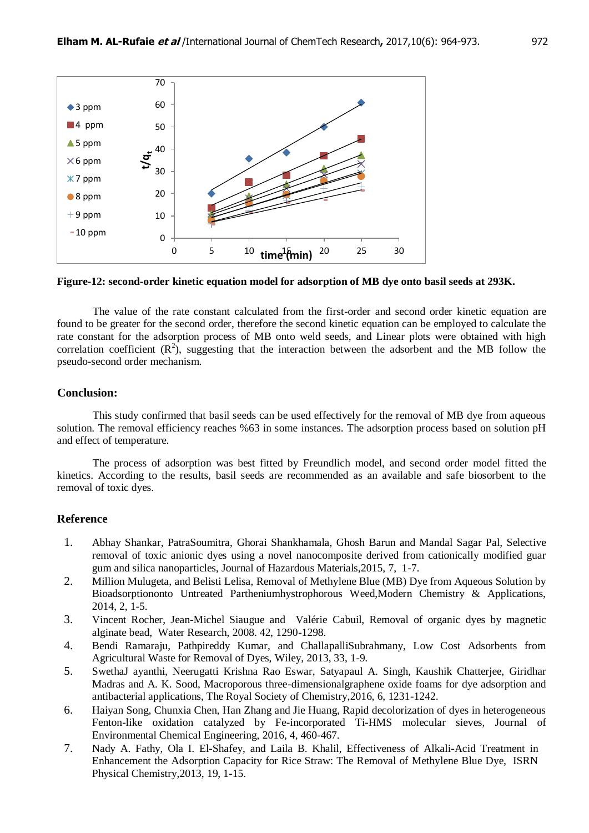

**Figure-12: second-order kinetic equation model for adsorption of MB dye onto basil seeds at 293K.**

 The value of the rate constant calculated from the first-order and second order kinetic equation are found to be greater for the second order, therefore the second kinetic equation can be employed to calculate the rate constant for the adsorption process of MB onto weld seeds, and Linear plots were obtained with high correlation coefficient  $(R^2)$ , suggesting that the interaction between the adsorbent and the MB follow the pseudo-second order mechanism.

#### **Conclusion:**

 This study confirmed that basil seeds can be used effectively for the removal of MB dye from aqueous solution. The removal efficiency reaches %63 in some instances. The adsorption process based on solution pH and effect of temperature.

 The process of adsorption was best fitted by Freundlich model, and second order model fitted the kinetics. According to the results, basil seeds are recommended as an available and safe biosorbent to the removal of toxic dyes.

#### **Reference**

- 1. Abhay Shankar, PatraSoumitra, Ghorai Shankhamala, Ghosh Barun and Mandal Sagar Pal, Selective removal of toxic anionic dyes using a novel nanocomposite derived from cationically modified guar gum and silica nanoparticles, Journal of Hazardous Materials,2015, 7, 1-7.
- 2. Million Mulugeta, and Belisti Lelisa, Removal of Methylene Blue (MB) Dye from Aqueous Solution by Bioadsorptiononto Untreated Partheniumhystrophorous Weed,Modern Chemistry & Applications, 2014, 2, 1-5.
- 3. Vincent Rocher, Jean-Michel Siaugue and Valérie Cabuil, Removal of organic dyes by magnetic alginate bead, Water Research, 2008. 42, 1290-1298.
- 4. Bendi Ramaraju, Pathpireddy Kumar, and ChallapalliSubrahmany, Low Cost Adsorbents from Agricultural Waste for Removal of Dyes, Wiley, 2013, 33, 1-9.
- 5. SwethaJ ayanthi, Neerugatti Krishna Rao Eswar, Satyapaul A. Singh, Kaushik Chatterjee, Giridhar Madras and A. K. Sood, Macroporous three-dimensionalgraphene oxide foams for dye adsorption and antibacterial applications, The Royal Society of Chemistry,2016, 6, 1231-1242.
- 6. Haiyan Song, Chunxia Chen, Han Zhang and Jie Huang, Rapid decolorization of dyes in heterogeneous Fenton-like oxidation catalyzed by Fe-incorporated Ti-HMS molecular sieves, Journal of Environmental Chemical Engineering, 2016, 4, 460-467.
- 7. Nady A. Fathy, Ola I. El-Shafey, and Laila B. Khalil, Effectiveness of Alkali-Acid Treatment in Enhancement the Adsorption Capacity for Rice Straw: The Removal of Methylene Blue Dye, ISRN Physical Chemistry,2013, 19, 1-15.